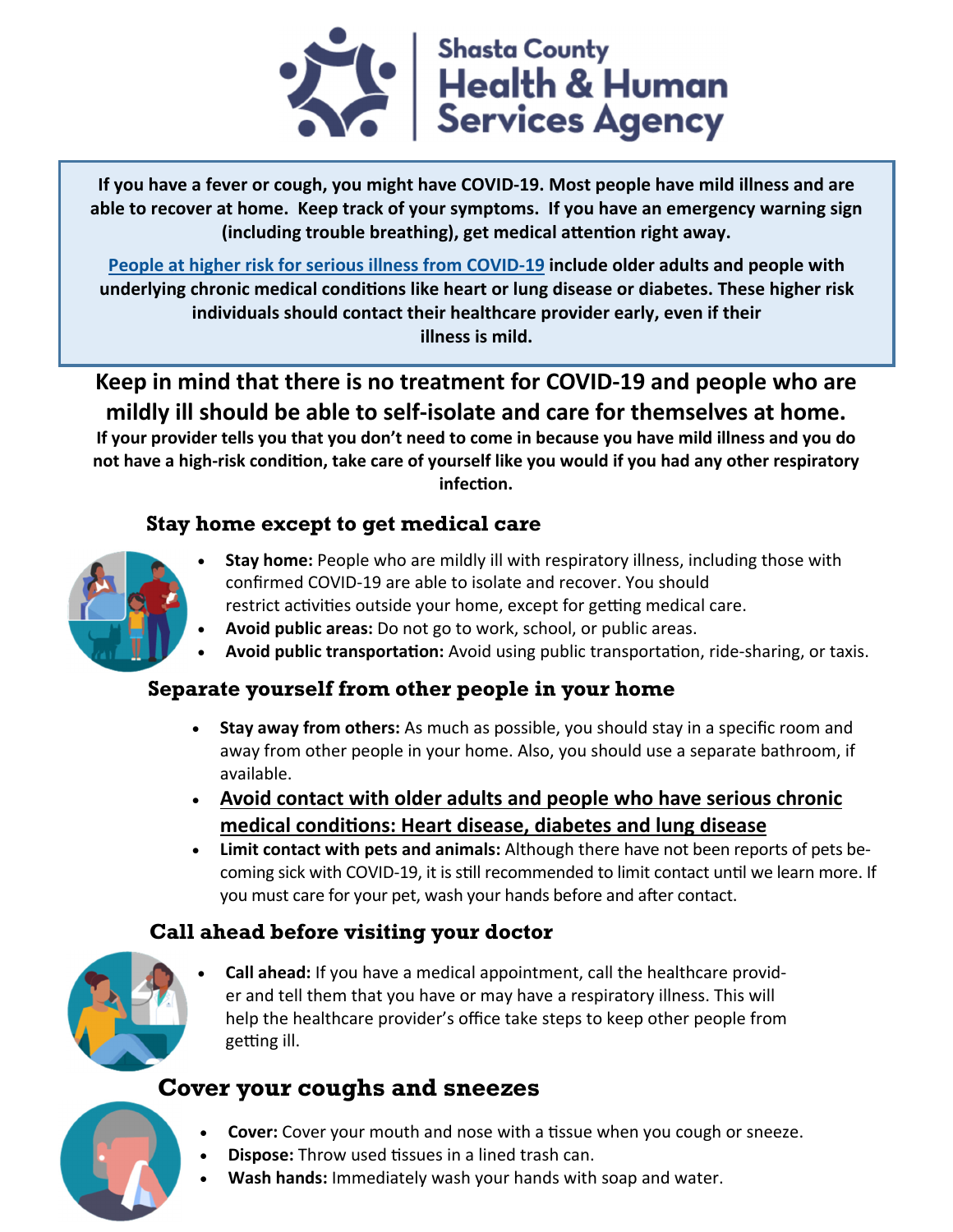

**If you have a fever or cough, you might have COVID‐19. Most people have mild illness and are able to recover at home. Keep track of your symptoms. If you have an emergency warning sign (including trouble breathing), get medical aƩenƟon right away.** 

**People at higher risk for serious illness from COVID‐19 include older adults and people with underlying chronic medical condiƟons like heart or lung disease or diabetes. These higher risk individuals should contact their healthcare provider early, even if their illness is mild.** 

**Keep in mind that there is no treatment for COVID‐19 and people who are mildly ill should be able to self‐isolate and care for themselves at home.** 

**If your provider tells you that you don't need to come in because you have mild illness and you do**  not have a high-risk condition, take care of yourself like you would if you had any other respiratory **infecƟon.** 

# **Stay home except to get medical care**



- **Stay home:** People who are mildly ill with respiratory illness, including those with confirmed COVID‐19 are able to isolate and recover. You should restrict activities outside your home, except for getting medical care.
- **Avoid public areas:** Do not go to work, school, or public areas.
- **Avoid public transportation:** Avoid using public transportation, ride-sharing, or taxis.

# **Separate yourself from other people in your home**

- **Stay away from others:** As much as possible, you should stay in a specific room and away from other people in your home. Also, you should use a separate bathroom, if available.
- **Avoid contact with older adults and people who have serious chronic medical condiƟons: Heart disease, diabetes and lung disease**
- **Limit contact with pets and animals:** Although there have not been reports of pets be‐ coming sick with COVID-19, it is still recommended to limit contact until we learn more. If you must care for your pet, wash your hands before and after contact.

# **Call ahead before visiting your doctor**



 **Call ahead:** If you have a medical appointment, call the healthcare provid‐ er and tell them that you have or may have a respiratory illness. This will help the healthcare provider's office take steps to keep other people from getting ill.

# **Cover your coughs and sneezes**

- **Cover:** Cover your mouth and nose with a tissue when you cough or sneeze.
- **Dispose:** Throw used tissues in a lined trash can.
- **Wash hands:** Immediately wash your hands with soap and water.